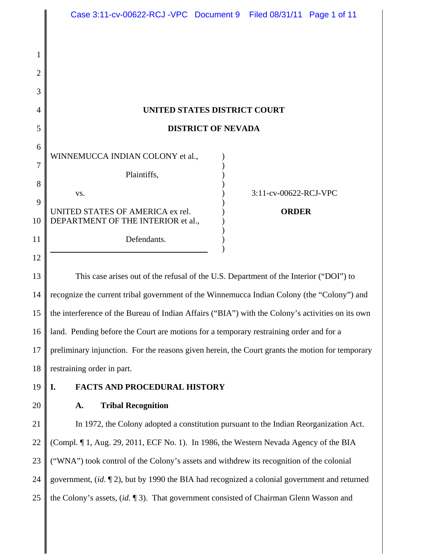| 1      |                                                                                                  |
|--------|--------------------------------------------------------------------------------------------------|
| 2      |                                                                                                  |
| 3      |                                                                                                  |
| 4      | UNITED STATES DISTRICT COURT                                                                     |
| 5      | <b>DISTRICT OF NEVADA</b>                                                                        |
| 6<br>7 | WINNEMUCCA INDIAN COLONY et al.,                                                                 |
| 8      | Plaintiffs,                                                                                      |
| 9      | 3:11-cv-00622-RCJ-VPC<br>VS.                                                                     |
| 10     | <b>ORDER</b><br>UNITED STATES OF AMERICA ex rel.<br>DEPARTMENT OF THE INTERIOR et al.,           |
| 11     | Defendants.                                                                                      |
| 12     |                                                                                                  |
| 13     | This case arises out of the refusal of the U.S. Department of the Interior ("DOI") to            |
| 14     | recognize the current tribal government of the Winnemucca Indian Colony (the "Colony") and       |
| 15     | the interference of the Bureau of Indian Affairs ("BIA") with the Colony's activities on its own |
| 16     | land. Pending before the Court are motions for a temporary restraining order and for a           |
| 17     | preliminary injunction. For the reasons given herein, the Court grants the motion for temporary  |
| 18     | restraining order in part.                                                                       |
| 19     | FACTS AND PROCEDURAL HISTORY<br>I.                                                               |
| 20     | <b>Tribal Recognition</b><br>A.                                                                  |
| 21     | In 1972, the Colony adopted a constitution pursuant to the Indian Reorganization Act.            |
| 22     | (Compl. ¶ 1, Aug. 29, 2011, ECF No. 1). In 1986, the Western Nevada Agency of the BIA            |
| 23     | ("WNA") took control of the Colony's assets and withdrew its recognition of the colonial         |
| 24     | government, $(id, \P 2)$ , but by 1990 the BIA had recognized a colonial government and returned |
| 25     | the Colony's assets, $(id, \P 3)$ . That government consisted of Chairman Glenn Wasson and       |
|        |                                                                                                  |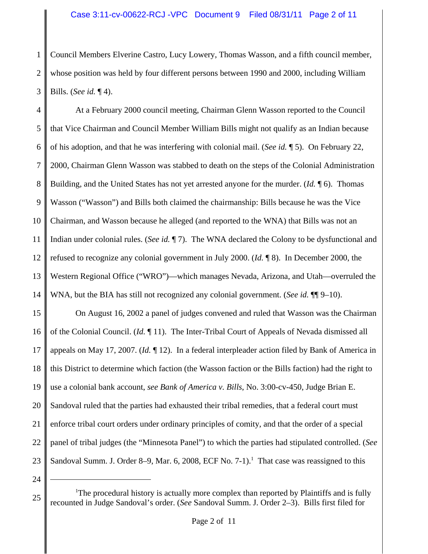1 2 3 Council Members Elverine Castro, Lucy Lowery, Thomas Wasson, and a fifth council member, whose position was held by four different persons between 1990 and 2000, including William Bills. (*See id.* ¶ 4).

4 5 6 7 8 9 10 11 12 13 14 At a February 2000 council meeting, Chairman Glenn Wasson reported to the Council that Vice Chairman and Council Member William Bills might not qualify as an Indian because of his adoption, and that he was interfering with colonial mail. (*See id.* ¶ 5). On February 22, 2000, Chairman Glenn Wasson was stabbed to death on the steps of the Colonial Administration Building, and the United States has not yet arrested anyone for the murder. (*Id.* ¶ 6). Thomas Wasson ("Wasson") and Bills both claimed the chairmanship: Bills because he was the Vice Chairman, and Wasson because he alleged (and reported to the WNA) that Bills was not an Indian under colonial rules. (*See id.* ¶ 7). The WNA declared the Colony to be dysfunctional and refused to recognize any colonial government in July 2000. (*Id.* ¶ 8). In December 2000, the Western Regional Office ("WRO")—which manages Nevada, Arizona, and Utah—overruled the WNA, but the BIA has still not recognized any colonial government. (*See id.*  $\P$ ] 9–10).

15 16 17 18 19 20 21 22 23 On August 16, 2002 a panel of judges convened and ruled that Wasson was the Chairman of the Colonial Council. (*Id.* ¶ 11). The Inter-Tribal Court of Appeals of Nevada dismissed all appeals on May 17, 2007. (*Id.* ¶ 12). In a federal interpleader action filed by Bank of America in this District to determine which faction (the Wasson faction or the Bills faction) had the right to use a colonial bank account, *see Bank of America v. Bills*, No. 3:00-cv-450, Judge Brian E. Sandoval ruled that the parties had exhausted their tribal remedies, that a federal court must enforce tribal court orders under ordinary principles of comity, and that the order of a special panel of tribal judges (the "Minnesota Panel") to which the parties had stipulated controlled. (*See* Sandoval Summ. J. Order 8–9, Mar. 6, 2008, ECF No.  $7-1$ ).<sup>1</sup> That case was reassigned to this

24

25

<sup>&</sup>lt;sup>1</sup>The procedural history is actually more complex than reported by Plaintiffs and is fully recounted in Judge Sandoval's order. (*See* Sandoval Summ. J. Order 2–3). Bills first filed for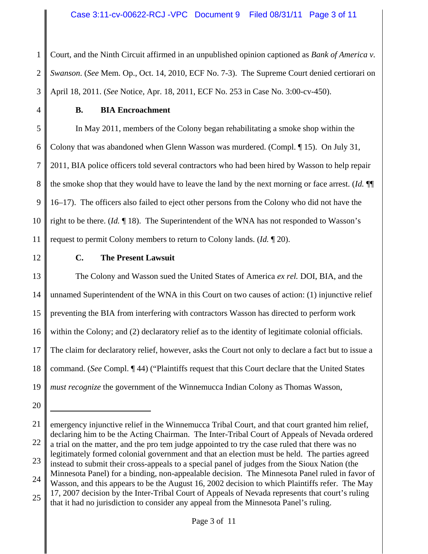1 2 3 Court, and the Ninth Circuit affirmed in an unpublished opinion captioned as *Bank of America v. Swanson*. (*See* Mem. Op., Oct. 14, 2010, ECF No. 7-3). The Supreme Court denied certiorari on April 18, 2011. (*See* Notice, Apr. 18, 2011, ECF No. 253 in Case No. 3:00-cv-450).

4

# **B. BIA Encroachment**

5 6 7 8 9 10 11 In May 2011, members of the Colony began rehabilitating a smoke shop within the Colony that was abandoned when Glenn Wasson was murdered. (Compl. ¶ 15). On July 31, 2011, BIA police officers told several contractors who had been hired by Wasson to help repair the smoke shop that they would have to leave the land by the next morning or face arrest. (*Id.* ¶¶ 16–17). The officers also failed to eject other persons from the Colony who did not have the right to be there. (*Id.* ¶ 18). The Superintendent of the WNA has not responded to Wasson's request to permit Colony members to return to Colony lands. (*Id.* ¶ 20).

12

# **C. The Present Lawsuit**

13 14 15 16 17 18 19 The Colony and Wasson sued the United States of America *ex rel.* DOI, BIA, and the unnamed Superintendent of the WNA in this Court on two causes of action: (1) injunctive relief preventing the BIA from interfering with contractors Wasson has directed to perform work within the Colony; and (2) declaratory relief as to the identity of legitimate colonial officials. The claim for declaratory relief, however, asks the Court not only to declare a fact but to issue a command. (*See* Compl. ¶ 44) ("Plaintiffs request that this Court declare that the United States *must recognize* the government of the Winnemucca Indian Colony as Thomas Wasson,

<sup>20</sup>

<sup>21</sup> 22 23 24 25 emergency injunctive relief in the Winnemucca Tribal Court, and that court granted him relief, declaring him to be the Acting Chairman. The Inter-Tribal Court of Appeals of Nevada ordered a trial on the matter, and the pro tem judge appointed to try the case ruled that there was no legitimately formed colonial government and that an election must be held. The parties agreed instead to submit their cross-appeals to a special panel of judges from the Sioux Nation (the Minnesota Panel) for a binding, non-appealable decision. The Minnesota Panel ruled in favor of Wasson, and this appears to be the August 16, 2002 decision to which Plaintiffs refer. The May 17, 2007 decision by the Inter-Tribal Court of Appeals of Nevada represents that court's ruling that it had no jurisdiction to consider any appeal from the Minnesota Panel's ruling.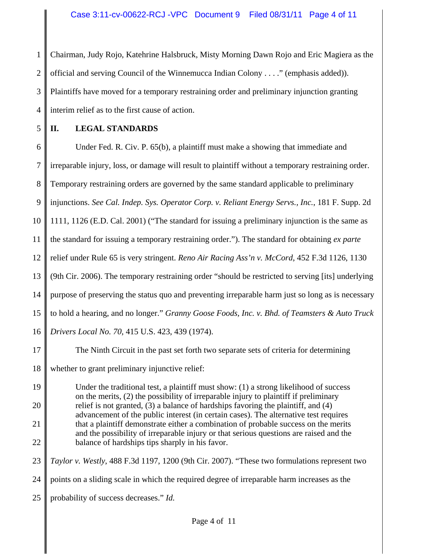1 2 3 4 Chairman, Judy Rojo, Katehrine Halsbruck, Misty Morning Dawn Rojo and Eric Magiera as the official and serving Council of the Winnemucca Indian Colony . . . ." (emphasis added)). Plaintiffs have moved for a temporary restraining order and preliminary injunction granting interim relief as to the first cause of action.

5

## **II. LEGAL STANDARDS**

6 7 8 9 10 11 12 13 14 15 16 Under Fed. R. Civ. P. 65(b), a plaintiff must make a showing that immediate and irreparable injury, loss, or damage will result to plaintiff without a temporary restraining order. Temporary restraining orders are governed by the same standard applicable to preliminary injunctions. *See Cal. Indep. Sys. Operator Corp. v. Reliant Energy Servs., Inc.*, 181 F. Supp. 2d 1111, 1126 (E.D. Cal. 2001) ("The standard for issuing a preliminary injunction is the same as the standard for issuing a temporary restraining order."). The standard for obtaining *ex parte* relief under Rule 65 is very stringent. *Reno Air Racing Ass'n v. McCord*, 452 F.3d 1126, 1130 (9th Cir. 2006). The temporary restraining order "should be restricted to serving [its] underlying purpose of preserving the status quo and preventing irreparable harm just so long as is necessary to hold a hearing, and no longer." *Granny Goose Foods, Inc. v. Bhd. of Teamsters & Auto Truck Drivers Local No. 70*, 415 U.S. 423, 439 (1974).

- 17 The Ninth Circuit in the past set forth two separate sets of criteria for determining
- 18 whether to grant preliminary injunctive relief:
- 19 20 21 22 Under the traditional test, a plaintiff must show: (1) a strong likelihood of success on the merits, (2) the possibility of irreparable injury to plaintiff if preliminary relief is not granted, (3) a balance of hardships favoring the plaintiff, and (4) advancement of the public interest (in certain cases). The alternative test requires that a plaintiff demonstrate either a combination of probable success on the merits and the possibility of irreparable injury or that serious questions are raised and the balance of hardships tips sharply in his favor.

23 *Taylor v. Westly*, 488 F.3d 1197, 1200 (9th Cir. 2007). "These two formulations represent two

- 24 points on a sliding scale in which the required degree of irreparable harm increases as the
- 25 probability of success decreases." *Id.*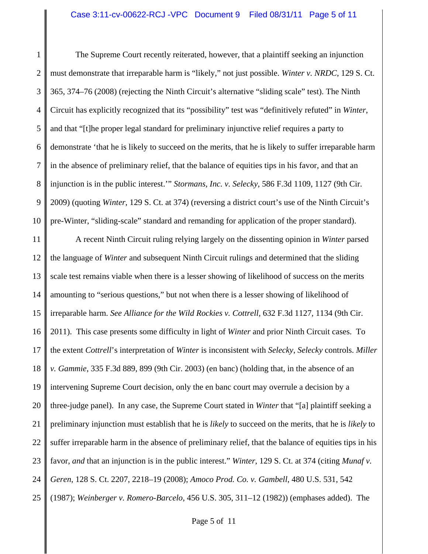1 2 3 4 5 6 7 8 9 10 The Supreme Court recently reiterated, however, that a plaintiff seeking an injunction must demonstrate that irreparable harm is "likely," not just possible. *Winter v. NRDC*, 129 S. Ct. 365, 374–76 (2008) (rejecting the Ninth Circuit's alternative "sliding scale" test). The Ninth Circuit has explicitly recognized that its "possibility" test was "definitively refuted" in *Winter*, and that "[t]he proper legal standard for preliminary injunctive relief requires a party to demonstrate 'that he is likely to succeed on the merits, that he is likely to suffer irreparable harm in the absence of preliminary relief, that the balance of equities tips in his favor, and that an injunction is in the public interest.'" *Stormans, Inc. v. Selecky*, 586 F.3d 1109, 1127 (9th Cir. 2009) (quoting *Winter*, 129 S. Ct. at 374) (reversing a district court's use of the Ninth Circuit's pre-Winter, "sliding-scale" standard and remanding for application of the proper standard).

11 12 13 14 15 16 17 18 19 20 21 22 23 24 25 A recent Ninth Circuit ruling relying largely on the dissenting opinion in *Winter* parsed the language of *Winter* and subsequent Ninth Circuit rulings and determined that the sliding scale test remains viable when there is a lesser showing of likelihood of success on the merits amounting to "serious questions," but not when there is a lesser showing of likelihood of irreparable harm. *See Alliance for the Wild Rockies v. Cottrell*, 632 F.3d 1127, 1134 (9th Cir. 2011). This case presents some difficulty in light of *Winter* and prior Ninth Circuit cases. To the extent *Cottrell*'s interpretation of *Winter* is inconsistent with *Selecky*, *Selecky* controls. *Miller v. Gammie*, 335 F.3d 889, 899 (9th Cir. 2003) (en banc) (holding that, in the absence of an intervening Supreme Court decision, only the en banc court may overrule a decision by a three-judge panel). In any case, the Supreme Court stated in *Winter* that "[a] plaintiff seeking a preliminary injunction must establish that he is *likely* to succeed on the merits, that he is *likely* to suffer irreparable harm in the absence of preliminary relief, that the balance of equities tips in his favor, *and* that an injunction is in the public interest." *Winter*, 129 S. Ct. at 374 (citing *Munaf v. Geren*, 128 S. Ct. 2207, 2218–19 (2008); *Amoco Prod. Co. v. Gambell*, 480 U.S. 531, 542 (1987); *Weinberger v. Romero-Barcelo*, 456 U.S. 305, 311–12 (1982)) (emphases added). The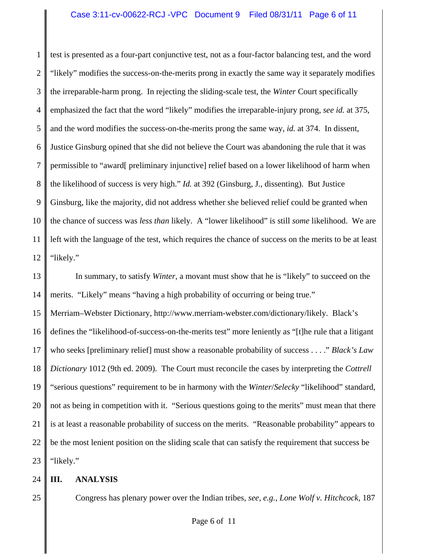### Case 3:11-cv-00622-RCJ -VPC Document 9 Filed 08/31/11 Page 6 of 11

1 2 3 4 5 6 7 8 9 10 11 12 test is presented as a four-part conjunctive test, not as a four-factor balancing test, and the word "likely" modifies the success-on-the-merits prong in exactly the same way it separately modifies the irreparable-harm prong. In rejecting the sliding-scale test, the *Winter* Court specifically emphasized the fact that the word "likely" modifies the irreparable-injury prong, *see id.* at 375, and the word modifies the success-on-the-merits prong the same way, *id.* at 374. In dissent, Justice Ginsburg opined that she did not believe the Court was abandoning the rule that it was permissible to "award[ preliminary injunctive] relief based on a lower likelihood of harm when the likelihood of success is very high." *Id.* at 392 (Ginsburg, J., dissenting). But Justice Ginsburg, like the majority, did not address whether she believed relief could be granted when the chance of success was *less than* likely. A "lower likelihood" is still *some* likelihood. We are left with the language of the test, which requires the chance of success on the merits to be at least "likely."

13 14 In summary, to satisfy *Winter*, a movant must show that he is "likely" to succeed on the merits. "Likely" means "having a high probability of occurring or being true."

15 16 17 18 19 20 21 22 23 Merriam–Webster Dictionary, http://www.merriam-webster.com/dictionary/likely. Black's defines the "likelihood-of-success-on-the-merits test" more leniently as "[t]he rule that a litigant who seeks [preliminary relief] must show a reasonable probability of success . . . ." *Black's Law Dictionary* 1012 (9th ed. 2009). The Court must reconcile the cases by interpreting the *Cottrell* "serious questions" requirement to be in harmony with the *Winter*/*Selecky* "likelihood" standard, not as being in competition with it. "Serious questions going to the merits" must mean that there is at least a reasonable probability of success on the merits. "Reasonable probability" appears to be the most lenient position on the sliding scale that can satisfy the requirement that success be "likely."

#### 24 **III. ANALYSIS**

25

Congress has plenary power over the Indian tribes, *see, e.g.*, *Lone Wolf v. Hitchcock*, 187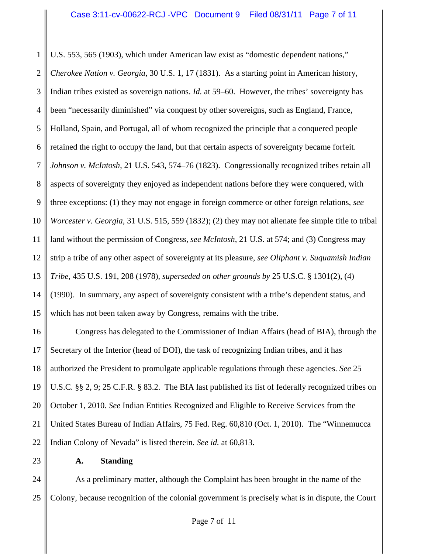1 2 3 4 5 6 7 8 9 10 11 12 13 14 15 U.S. 553, 565 (1903), which under American law exist as "domestic dependent nations," *Cherokee Nation v. Georgia*, 30 U.S. 1, 17 (1831). As a starting point in American history, Indian tribes existed as sovereign nations. *Id.* at 59–60. However, the tribes' sovereignty has been "necessarily diminished" via conquest by other sovereigns, such as England, France, Holland, Spain, and Portugal, all of whom recognized the principle that a conquered people retained the right to occupy the land, but that certain aspects of sovereignty became forfeit. *Johnson v. McIntosh*, 21 U.S. 543, 574–76 (1823). Congressionally recognized tribes retain all aspects of sovereignty they enjoyed as independent nations before they were conquered, with three exceptions: (1) they may not engage in foreign commerce or other foreign relations, *see Worcester v. Georgia*, 31 U.S. 515, 559 (1832); (2) they may not alienate fee simple title to tribal land without the permission of Congress, *see McIntosh*, 21 U.S. at 574; and (3) Congress may strip a tribe of any other aspect of sovereignty at its pleasure, *see Oliphant v. Suquamish Indian Tribe*, 435 U.S. 191, 208 (1978), *superseded on other grounds by* 25 U.S.C. § 1301(2), (4) (1990). In summary, any aspect of sovereignty consistent with a tribe's dependent status, and which has not been taken away by Congress, remains with the tribe.

16 17 18 19 20 21 22 Congress has delegated to the Commissioner of Indian Affairs (head of BIA), through the Secretary of the Interior (head of DOI), the task of recognizing Indian tribes, and it has authorized the President to promulgate applicable regulations through these agencies. *See* 25 U.S.C. §§ 2, 9; 25 C.F.R. § 83.2. The BIA last published its list of federally recognized tribes on October 1, 2010. *See* Indian Entities Recognized and Eligible to Receive Services from the United States Bureau of Indian Affairs, 75 Fed. Reg. 60,810 (Oct. 1, 2010). The "Winnemucca Indian Colony of Nevada" is listed therein. *See id.* at 60,813.

23

## **A. Standing**

24 25 As a preliminary matter, although the Complaint has been brought in the name of the Colony, because recognition of the colonial government is precisely what is in dispute, the Court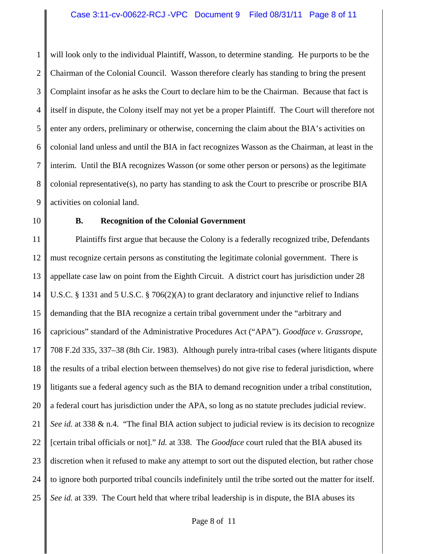1 2 3 4 5 6 7 8 9 will look only to the individual Plaintiff, Wasson, to determine standing. He purports to be the Chairman of the Colonial Council. Wasson therefore clearly has standing to bring the present Complaint insofar as he asks the Court to declare him to be the Chairman. Because that fact is itself in dispute, the Colony itself may not yet be a proper Plaintiff. The Court will therefore not enter any orders, preliminary or otherwise, concerning the claim about the BIA's activities on colonial land unless and until the BIA in fact recognizes Wasson as the Chairman, at least in the interim. Until the BIA recognizes Wasson (or some other person or persons) as the legitimate colonial representative(s), no party has standing to ask the Court to prescribe or proscribe BIA activities on colonial land.

10

### **B. Recognition of the Colonial Government**

11 12 13 14 15 16 17 18 19 20 21 22 23 24 25 Plaintiffs first argue that because the Colony is a federally recognized tribe, Defendants must recognize certain persons as constituting the legitimate colonial government. There is appellate case law on point from the Eighth Circuit. A district court has jurisdiction under 28 U.S.C. § 1331 and 5 U.S.C. § 706(2)(A) to grant declaratory and injunctive relief to Indians demanding that the BIA recognize a certain tribal government under the "arbitrary and capricious" standard of the Administrative Procedures Act ("APA"). *Goodface v. Grassrope*, 708 F.2d 335, 337–38 (8th Cir. 1983). Although purely intra-tribal cases (where litigants dispute the results of a tribal election between themselves) do not give rise to federal jurisdiction, where litigants sue a federal agency such as the BIA to demand recognition under a tribal constitution, a federal court has jurisdiction under the APA, so long as no statute precludes judicial review. *See id.* at 338 & n.4. "The final BIA action subject to judicial review is its decision to recognize [certain tribal officials or not]." *Id.* at 338. The *Goodface* court ruled that the BIA abused its discretion when it refused to make any attempt to sort out the disputed election, but rather chose to ignore both purported tribal councils indefinitely until the tribe sorted out the matter for itself. *See id.* at 339. The Court held that where tribal leadership is in dispute, the BIA abuses its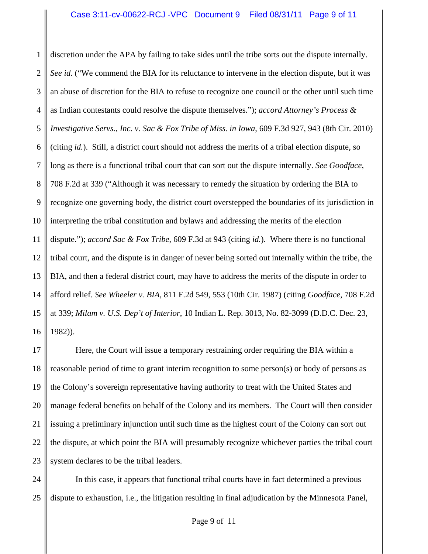1 2 3 4 5 6 7 8 9 10 11 12 13 14 15 16 discretion under the APA by failing to take sides until the tribe sorts out the dispute internally. *See id.* ("We commend the BIA for its reluctance to intervene in the election dispute, but it was an abuse of discretion for the BIA to refuse to recognize one council or the other until such time as Indian contestants could resolve the dispute themselves."); *accord Attorney's Process & Investigative Servs., Inc. v. Sac & Fox Tribe of Miss. in Iowa*, 609 F.3d 927, 943 (8th Cir. 2010) (citing *id.*). Still, a district court should not address the merits of a tribal election dispute, so long as there is a functional tribal court that can sort out the dispute internally. *See Goodface*, 708 F.2d at 339 ("Although it was necessary to remedy the situation by ordering the BIA to recognize one governing body, the district court overstepped the boundaries of its jurisdiction in interpreting the tribal constitution and bylaws and addressing the merits of the election dispute."); *accord Sac & Fox Tribe*, 609 F.3d at 943 (citing *id.*). Where there is no functional tribal court, and the dispute is in danger of never being sorted out internally within the tribe, the BIA, and then a federal district court, may have to address the merits of the dispute in order to afford relief. *See Wheeler v. BIA*, 811 F.2d 549, 553 (10th Cir. 1987) (citing *Goodface*, 708 F.2d at 339; *Milam v. U.S. Dep't of Interior*, 10 Indian L. Rep. 3013, No. 82-3099 (D.D.C. Dec. 23, 1982)).

17 18 19 20 21 22 23 Here, the Court will issue a temporary restraining order requiring the BIA within a reasonable period of time to grant interim recognition to some person(s) or body of persons as the Colony's sovereign representative having authority to treat with the United States and manage federal benefits on behalf of the Colony and its members. The Court will then consider issuing a preliminary injunction until such time as the highest court of the Colony can sort out the dispute, at which point the BIA will presumably recognize whichever parties the tribal court system declares to be the tribal leaders.

24 25 In this case, it appears that functional tribal courts have in fact determined a previous dispute to exhaustion, i.e., the litigation resulting in final adjudication by the Minnesota Panel,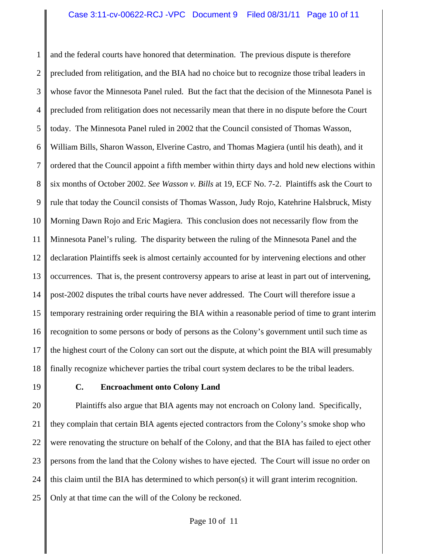1 2 3 4 5 6 7 8 9 10 11 12 13 14 15 16 17 18 and the federal courts have honored that determination. The previous dispute is therefore precluded from relitigation, and the BIA had no choice but to recognize those tribal leaders in whose favor the Minnesota Panel ruled. But the fact that the decision of the Minnesota Panel is precluded from relitigation does not necessarily mean that there in no dispute before the Court today. The Minnesota Panel ruled in 2002 that the Council consisted of Thomas Wasson, William Bills, Sharon Wasson, Elverine Castro, and Thomas Magiera (until his death), and it ordered that the Council appoint a fifth member within thirty days and hold new elections within six months of October 2002. *See Wasson v. Bills* at 19, ECF No. 7-2. Plaintiffs ask the Court to rule that today the Council consists of Thomas Wasson, Judy Rojo, Katehrine Halsbruck, Misty Morning Dawn Rojo and Eric Magiera. This conclusion does not necessarily flow from the Minnesota Panel's ruling. The disparity between the ruling of the Minnesota Panel and the declaration Plaintiffs seek is almost certainly accounted for by intervening elections and other occurrences. That is, the present controversy appears to arise at least in part out of intervening, post-2002 disputes the tribal courts have never addressed. The Court will therefore issue a temporary restraining order requiring the BIA within a reasonable period of time to grant interim recognition to some persons or body of persons as the Colony's government until such time as the highest court of the Colony can sort out the dispute, at which point the BIA will presumably finally recognize whichever parties the tribal court system declares to be the tribal leaders.

19

### **C. Encroachment onto Colony Land**

20 21 22 23 24 25 Plaintiffs also argue that BIA agents may not encroach on Colony land. Specifically, they complain that certain BIA agents ejected contractors from the Colony's smoke shop who were renovating the structure on behalf of the Colony, and that the BIA has failed to eject other persons from the land that the Colony wishes to have ejected. The Court will issue no order on this claim until the BIA has determined to which person(s) it will grant interim recognition. Only at that time can the will of the Colony be reckoned.